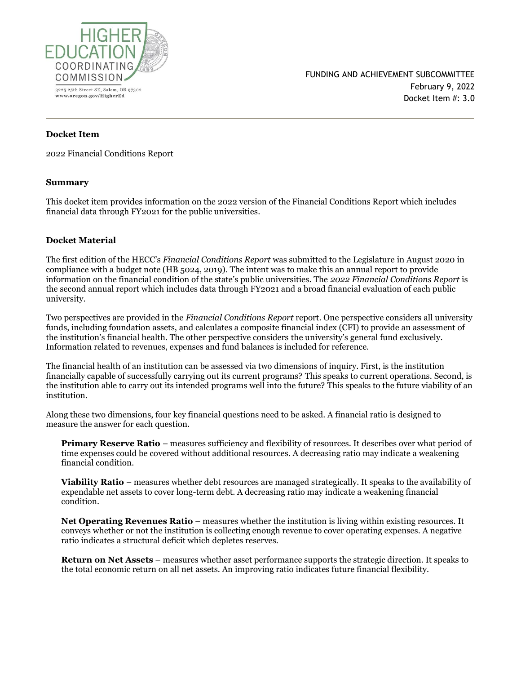

# **Docket Item**

2022 Financial Conditions Report

#### **Summary**

This docket item provides information on the 2022 version of the Financial Conditions Report which includes financial data through FY2021 for the public universities.

#### **Docket Material**

The first edition of the HECC's *Financial Conditions Report* was submitted to the Legislature in August 2020 in compliance with a budget note (HB 5024, 2019). The intent was to make this an annual report to provide information on the financial condition of the state's public universities. The *2022 Financial Conditions Report* is the second annual report which includes data through FY2021 and a broad financial evaluation of each public university.

Two perspectives are provided in the *Financial Conditions Report* report. One perspective considers all university funds, including foundation assets, and calculates a composite financial index (CFI) to provide an assessment of the institution's financial health. The other perspective considers the university's general fund exclusively. Information related to revenues, expenses and fund balances is included for reference.

The financial health of an institution can be assessed via two dimensions of inquiry. First, is the institution financially capable of successfully carrying out its current programs? This speaks to current operations. Second, is the institution able to carry out its intended programs well into the future? This speaks to the future viability of an institution.

Along these two dimensions, four key financial questions need to be asked. A financial ratio is designed to measure the answer for each question.

**Primary Reserve Ratio** – measures sufficiency and flexibility of resources. It describes over what period of time expenses could be covered without additional resources. A decreasing ratio may indicate a weakening financial condition.

**Viability Ratio** – measures whether debt resources are managed strategically. It speaks to the availability of expendable net assets to cover long-term debt. A decreasing ratio may indicate a weakening financial condition.

**Net Operating Revenues Ratio** – measures whether the institution is living within existing resources. It conveys whether or not the institution is collecting enough revenue to cover operating expenses. A negative ratio indicates a structural deficit which depletes reserves.

**Return on Net Assets** – measures whether asset performance supports the strategic direction. It speaks to the total economic return on all net assets. An improving ratio indicates future financial flexibility.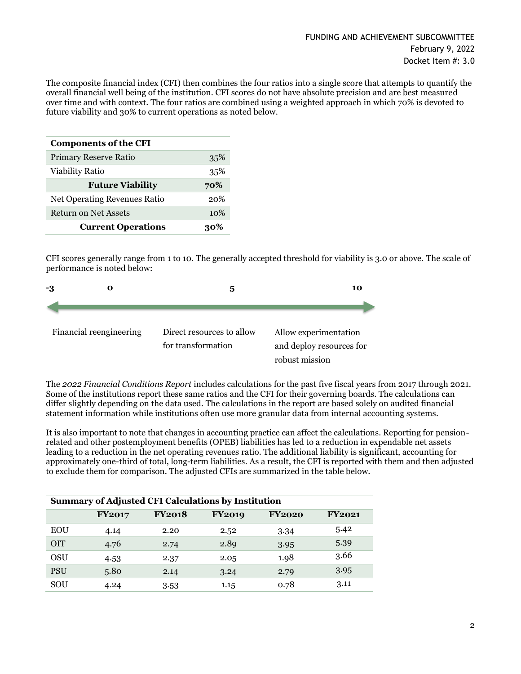The composite financial index (CFI) then combines the four ratios into a single score that attempts to quantify the overall financial well being of the institution. CFI scores do not have absolute precision and are best measured over time and with context. The four ratios are combined using a weighted approach in which 70% is devoted to future viability and 30% to current operations as noted below.

| <b>Components of the CFI</b> |     |  |  |  |  |
|------------------------------|-----|--|--|--|--|
| Primary Reserve Ratio        | 35% |  |  |  |  |
| <b>Viability Ratio</b>       | 35% |  |  |  |  |
| <b>Future Viability</b>      | 70% |  |  |  |  |
| Net Operating Revenues Ratio | 20% |  |  |  |  |
| <b>Return on Net Assets</b>  | 10% |  |  |  |  |
| <b>Current Operations</b>    |     |  |  |  |  |

CFI scores generally range from 1 to 10. The generally accepted threshold for viability is 3.0 or above. The scale of performance is noted below:



The *2022 Financial Conditions Report* includes calculations for the past five fiscal years from 2017 through 2021. Some of the institutions report these same ratios and the CFI for their governing boards. The calculations can differ slightly depending on the data used. The calculations in the report are based solely on audited financial statement information while institutions often use more granular data from internal accounting systems.

It is also important to note that changes in accounting practice can affect the calculations. Reporting for pensionrelated and other postemployment benefits (OPEB) liabilities has led to a reduction in expendable net assets leading to a reduction in the net operating revenues ratio. The additional liability is significant, accounting for approximately one-third of total, long-term liabilities. As a result, the CFI is reported with them and then adjusted to exclude them for comparison. The adjusted CFIs are summarized in the table below.

| <b>Summary of Adjusted CFI Calculations by Institution</b> |               |               |               |               |               |  |
|------------------------------------------------------------|---------------|---------------|---------------|---------------|---------------|--|
|                                                            | <b>FY2017</b> | <b>FY2018</b> | <b>FY2019</b> | <b>FY2020</b> | <b>FY2021</b> |  |
| <b>EOU</b>                                                 | 4.14          | 2.20          | 2.52          | 3.34          | 5.42          |  |
| <b>OIT</b>                                                 | 4.76          | 2.74          | 2.89          | 3.95          | 5.39          |  |
| OSU                                                        | 4.53          | 2.37          | 2.05          | 1.98          | 3.66          |  |
| <b>PSU</b>                                                 | 5.80          | 2.14          | 3.24          | 2.79          | 3.95          |  |
| SOU                                                        | 4.24          | 3.53          | 1.15          | 0.78          | 3.11          |  |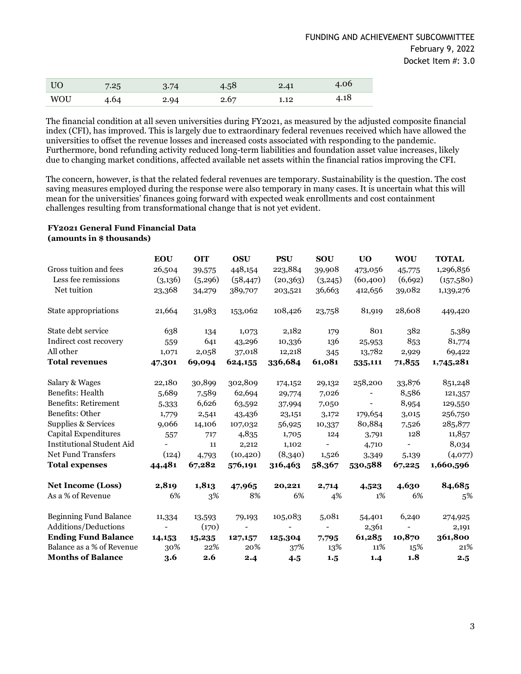| <b>UO</b> | 7.25 | 3.74 | 4.58 | 2.41 | 4.06 |
|-----------|------|------|------|------|------|
| WOU       | 4.64 | 2.94 | 2.67 | 1.12 | 4.18 |

The financial condition at all seven universities during FY2021, as measured by the adjusted composite financial index (CFI), has improved. This is largely due to extraordinary federal revenues received which have allowed the universities to offset the revenue losses and increased costs associated with responding to the pandemic. Furthermore, bond refunding activity reduced long-term liabilities and foundation asset value increases, likely due to changing market conditions, affected available net assets within the financial ratios improving the CFI.

The concern, however, is that the related federal revenues are temporary. Sustainability is the question. The cost saving measures employed during the response were also temporary in many cases. It is uncertain what this will mean for the universities' finances going forward with expected weak enrollments and cost containment challenges resulting from transformational change that is not yet evident.

### **FY2021 General Fund Financial Data (amounts in \$ thousands)**

|                                  | <b>EOU</b>               | <b>OIT</b> | <b>OSU</b>        | <b>PSU</b>               | <b>SOU</b>               | U <sub>O</sub>           | <b>WOU</b>               | <b>TOTAL</b> |
|----------------------------------|--------------------------|------------|-------------------|--------------------------|--------------------------|--------------------------|--------------------------|--------------|
| Gross tuition and fees           | 26,504                   | 39,575     | 448,154           | 223,884                  | 39,908                   | 473,056                  | 45,775                   | 1,296,856    |
| Less fee remissions              | (3,136)                  | (5,296)    | (58, 447)         | (20,363)                 | (3,245)                  | (60, 400)                | (6, 692)                 | (157,580)    |
| Net tuition                      | 23,368                   | 34,279     | 389,707           | 203,521                  | 36,663                   | 412,656                  | 39,082                   | 1,139,276    |
| State appropriations             | 21,664                   | 31,983     | 153,062           | 108,426                  | 23,758                   | 81,919                   | 28,608                   | 449,420      |
| State debt service               | 638                      | 134        | 1,073             | 2,182                    | 179                      | 801                      | 382                      | 5,389        |
| Indirect cost recovery           | 559                      | 641        | 43,296            | 10,336                   | 136                      | 25,953                   | 853                      | 81,774       |
| All other                        | 1,071                    | 2,058      | 37,018            | 12,218                   | 345                      | 13,782                   | 2,929                    | 69,422       |
| <b>Total revenues</b>            | 47,301                   | 69,094     | 624,155           | 336,684                  | 61,081                   | 535,111                  | 71,855                   | 1,745,281    |
| Salary & Wages                   | 22,180                   | 30,899     | 302,809           | 174,152                  | 29,132                   | 258,200                  | 33,876                   | 851,248      |
| Benefits: Health                 | 5,689                    | 7,589      | 62,694            | 29,774                   | 7,026                    | $\overline{\phantom{a}}$ | 8,586                    | 121,357      |
| <b>Benefits: Retirement</b>      | 5,333                    | 6,626      | 63,592            | 37,994                   | 7,050                    |                          | 8,954                    | 129,550      |
| Benefits: Other                  | 1,779                    | 2,541      | 43,436            | 23,151                   | 3,172                    | 179,654                  | 3,015                    | 256,750      |
| Supplies & Services              | 9,066                    | 14,106     | 107,032           | 56,925                   | 10,337                   | 80,884                   | 7,526                    | 285,877      |
| Capital Expenditures             | 557                      | 717        | 4,835             | 1,705                    | 124                      | 3,791                    | 128                      | 11,857       |
| <b>Institutional Student Aid</b> | $\overline{\phantom{0}}$ | 11         | 2,212             | 1,102                    | $\overline{\phantom{a}}$ | 4,710                    |                          | 8,034        |
| <b>Net Fund Transfers</b>        | (124)                    | 4,793      | (10, 420)         | (8,340)                  | 1,526                    | 3,349                    | 5,139                    | (4,077)      |
| <b>Total expenses</b>            | 44,481                   | 67,282     | 576,191           | 316,463                  | 58,367                   | 530,588                  | 67,225                   | 1,660,596    |
| <b>Net Income (Loss)</b>         | 2,819                    | 1,813      | 47,965            | 20,221                   | 2,714                    | 4,523                    | 4,630                    | 84,685       |
| As a % of Revenue                | 6%                       | 3%         | 8%                | 6%                       | 4%                       | 1%                       | 6%                       | 5%           |
| <b>Beginning Fund Balance</b>    | 11,334                   | 13,593     | 79,193            | 105,083                  | 5,081                    | 54,401                   | 6,240                    | 274,925      |
| Additions/Deductions             | $\overline{\phantom{a}}$ | (170)      | $\qquad \qquad -$ | $\overline{\phantom{a}}$ | $\overline{\phantom{a}}$ | 2,361                    | $\overline{\phantom{a}}$ | 2,191        |
| <b>Ending Fund Balance</b>       | 14,153                   | 15,235     | 127,157           | 125,304                  | 7,795                    | 61,285                   | 10,870                   | 361,800      |
| Balance as a % of Revenue        | 30%                      | 22%        | 20%               | 37%                      | 13%                      | 11%                      | 15%                      | 21%          |
| <b>Months of Balance</b>         | 3.6                      | 2.6        | 2.4               | 4.5                      | 1.5                      | 1.4                      | 1.8                      | 2.5          |